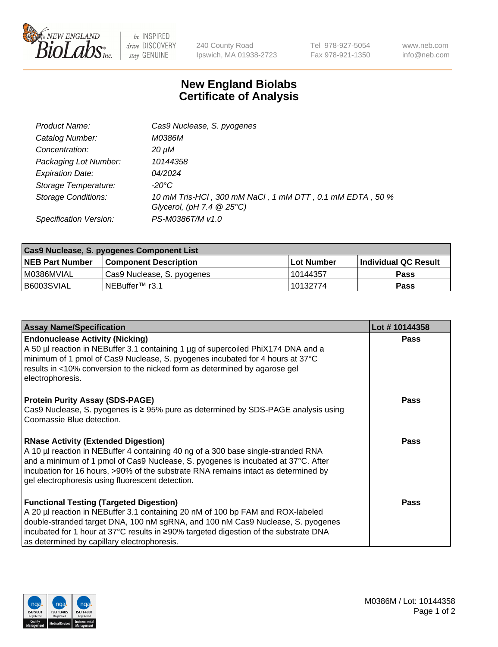

 $be$  INSPIRED drive DISCOVERY stay GENUINE

240 County Road Ipswich, MA 01938-2723 Tel 978-927-5054 Fax 978-921-1350 www.neb.com info@neb.com

## **New England Biolabs Certificate of Analysis**

| Product Name:              | Cas9 Nuclease, S. pyogenes                               |
|----------------------------|----------------------------------------------------------|
| Catalog Number:            | M0386M                                                   |
| Concentration:             | 20 µM                                                    |
| Packaging Lot Number:      | 10144358                                                 |
| <b>Expiration Date:</b>    | <i>04/2024</i>                                           |
| Storage Temperature:       | -20°C                                                    |
| <b>Storage Conditions:</b> | 10 mM Tris-HCl, 300 mM NaCl, 1 mM DTT, 0.1 mM EDTA, 50 % |
|                            | Glycerol, (pH 7.4 $@25°C$ )                              |
| Specification Version:     | PS-M0386T/M v1.0                                         |

| <b>Cas9 Nuclease, S. pyogenes Component List</b> |                              |                   |                      |  |  |
|--------------------------------------------------|------------------------------|-------------------|----------------------|--|--|
| <b>NEB Part Number</b>                           | <b>Component Description</b> | <b>Lot Number</b> | Individual QC Result |  |  |
| I M0386MVIAL                                     | Cas9 Nuclease, S. pyogenes   | l 10144357        | <b>Pass</b>          |  |  |
| I B6003SVIAL                                     | INEBuffer™ r3.1              | 10132774          | Pass                 |  |  |

| <b>Assay Name/Specification</b>                                                                                                                                                                                                                                                                                                                                | Lot #10144358 |
|----------------------------------------------------------------------------------------------------------------------------------------------------------------------------------------------------------------------------------------------------------------------------------------------------------------------------------------------------------------|---------------|
| <b>Endonuclease Activity (Nicking)</b><br>A 50 µl reaction in NEBuffer 3.1 containing 1 µg of supercoiled PhiX174 DNA and a<br>minimum of 1 pmol of Cas9 Nuclease, S. pyogenes incubated for 4 hours at 37°C<br>results in <10% conversion to the nicked form as determined by agarose gel<br>electrophoresis.                                                 | <b>Pass</b>   |
| <b>Protein Purity Assay (SDS-PAGE)</b><br>Cas9 Nuclease, S. pyogenes is ≥ 95% pure as determined by SDS-PAGE analysis using<br>Coomassie Blue detection.                                                                                                                                                                                                       | <b>Pass</b>   |
| <b>RNase Activity (Extended Digestion)</b><br>A 10 µl reaction in NEBuffer 4 containing 40 ng of a 300 base single-stranded RNA<br>and a minimum of 1 pmol of Cas9 Nuclease, S. pyogenes is incubated at 37°C. After<br>incubation for 16 hours, >90% of the substrate RNA remains intact as determined by<br>gel electrophoresis using fluorescent detection. | Pass          |
| <b>Functional Testing (Targeted Digestion)</b><br>A 20 µl reaction in NEBuffer 3.1 containing 20 nM of 100 bp FAM and ROX-labeled<br>double-stranded target DNA, 100 nM sgRNA, and 100 nM Cas9 Nuclease, S. pyogenes<br> incubated for 1 hour at 37°C results in ≥90% targeted digestion of the substrate DNA<br>as determined by capillary electrophoresis.   | <b>Pass</b>   |